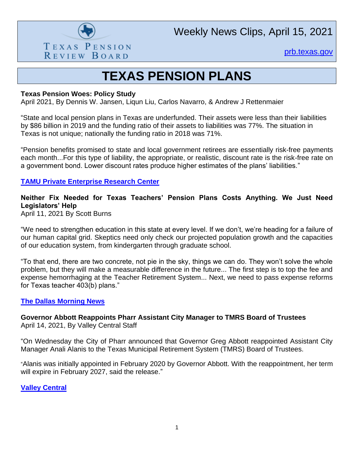

Weekly News Clips, April 15, 2021

[prb.texas.gov](http://www.prb.texas.gov/)

# **TEXAS PENSION PLANS**

### **Texas Pension Woes: Policy Study**

April 2021, By Dennis W. Jansen, Liqun Liu, Carlos Navarro, & Andrew J Rettenmaier

"State and local pension plans in Texas are underfunded. Their assets were less than their liabilities by \$86 billion in 2019 and the funding ratio of their assets to liabilities was 77%. The situation in Texas is not unique; nationally the funding ratio in 2018 was 71%.

"Pension benefits promised to state and local government retirees are essentially risk-free payments each month...For this type of liability, the appropriate, or realistic, discount rate is the risk-free rate on a government bond. Lower discount rates produce higher estimates of the plans' liabilities."

# **[TAMU Private Enterprise Research Center](https://perc.tamu.edu/perc/media/perc/policy%20study/policy_study_2103.pdf?ext=.pdf)**

# **Neither Fix Needed for Texas Teachers' Pension Plans Costs Anything. We Just Need Legislators' Help**

April 11, 2021 By Scott Burns

"We need to strengthen education in this state at every level. If we don't, we're heading for a failure of our human capital grid. Skeptics need only check our projected population growth and the capacities of our education system, from kindergarten through graduate school.

"To that end, there are two concrete, not pie in the sky, things we can do. They won't solve the whole problem, but they will make a measurable difference in the future... The first step is to top the fee and expense hemorrhaging at the Teacher Retirement System... Next, we need to pass expense reforms for Texas teacher 403(b) plans."

#### **[The Dallas Morning News](https://webcache.googleusercontent.com/search?q=cache:KZu2JXPgpfQJ:https://www.dallasnews.com/business/personal-finance/2021/04/11/beyond-whirled-peas-lets-save-our-kids-futures-by-helping-their-teachers/+&cd=1&hl=en&ct=clnk&gl=us)**

## **Governor Abbott Reappoints Pharr Assistant City Manager to TMRS Board of Trustees** April 14, 2021, By Valley Central Staff

"On Wednesday the City of Pharr announced that Governor Greg Abbott reappointed Assistant City Manager Anali Alanis to the Texas Municipal Retirement System (TMRS) Board of Trustees.

"Alanis was initially appointed in February 2020 by Governor Abbott. With the reappointment, her term will expire in February 2027, said the release."

**[Valley Central](https://www.valleycentral.com/news/local-news/governor-abbott-reappoints-pharr-assistant-city-manager-to-tmrs-board-of-trustees/)**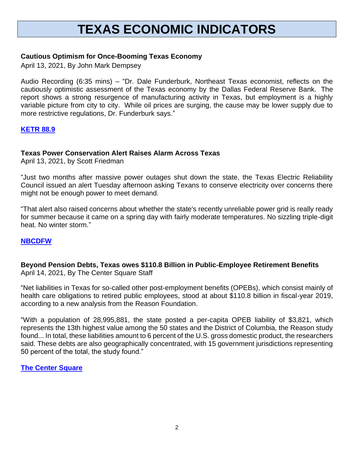# **TEXAS ECONOMIC INDICATORS**

## **Cautious Optimism for Once-Booming Texas Economy**

April 13, 2021, By John Mark Dempsey

Audio Recording (6:35 mins) – "Dr. Dale Funderburk, Northeast Texas economist, reflects on the cautiously optimistic assessment of the Texas economy by the Dallas Federal Reserve Bank. The report shows a strong resurgence of manufacturing activity in Texas, but employment is a highly variable picture from city to city. While oil prices are surging, the cause may be lower supply due to more restrictive regulations, Dr. Funderburk says."

## **[KETR 88.9](https://www.ketr.org/post/cautious-optimism-once-booming-texas-economy)**

#### **Texas Power Conservation Alert Raises Alarm Across Texas**

April 13, 2021, by Scott Friedman

"Just two months after massive power outages shut down the state, the Texas Electric Reliability Council issued an alert Tuesday afternoon asking Texans to conserve electricity over concerns there might not be enough power to meet demand.

"That alert also raised concerns about whether the state's recently unreliable power grid is really ready for summer because it came on a spring day with fairly moderate temperatures. No sizzling triple-digit heat. No winter storm."

#### **[NBCDFW](https://www.nbcdfw.com/news/local/texas-news/ercot-asks-texans-to-conserve-energy-as-demand-rises/2604630/)**

## **Beyond Pension Debts, Texas owes \$110.8 Billion in Public-Employee Retirement Benefits** April 14, 2021, By The Center Square Staff

"Net liabilities in Texas for so-called other post-employment benefits (OPEBs), which consist mainly of health care obligations to retired public employees, stood at about \$110.8 billion in fiscal-year 2019, according to a new analysis from the Reason Foundation.

"With a population of 28,995,881, the state posted a per-capita OPEB liability of \$3,821, which represents the 13th highest value among the 50 states and the District of Columbia, the Reason study found... In total, these liabilities amount to 6 percent of the U.S. gross domestic product, the researchers said. These debts are also geographically concentrated, with 15 government jurisdictions representing 50 percent of the total, the study found."

#### **[The Center Square](https://www.thecentersquare.com/texas/beyond-pension-debts-texas-owes-110-8-billion-in-public-employee-retirement-benefits/article_706e7fa4-7bc6-11eb-ae50-3f37bbe601dc.html#tncms-source=infinity-scroll-summary-sticky-siderail-latest)**